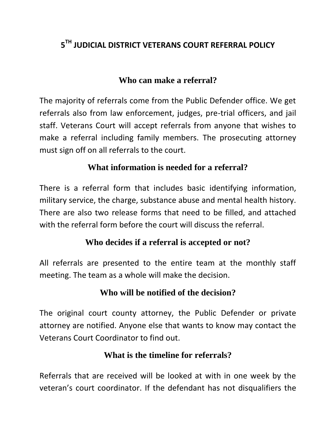## **5 TH JUDICIAL DISTRICT VETERANS COURT REFERRAL POLICY**

#### **Who can make a referral?**

The majority of referrals come from the Public Defender office. We get referrals also from law enforcement, judges, pre-trial officers, and jail staff. Veterans Court will accept referrals from anyone that wishes to make a referral including family members. The prosecuting attorney must sign off on all referrals to the court.

## **What information is needed for a referral?**

There is a referral form that includes basic identifying information, military service, the charge, substance abuse and mental health history. There are also two release forms that need to be filled, and attached with the referral form before the court will discuss the referral.

## **Who decides if a referral is accepted or not?**

All referrals are presented to the entire team at the monthly staff meeting. The team as a whole will make the decision.

## **Who will be notified of the decision?**

The original court county attorney, the Public Defender or private attorney are notified. Anyone else that wants to know may contact the Veterans Court Coordinator to find out.

## **What is the timeline for referrals?**

Referrals that are received will be looked at with in one week by the veteran's court coordinator. If the defendant has not disqualifiers the